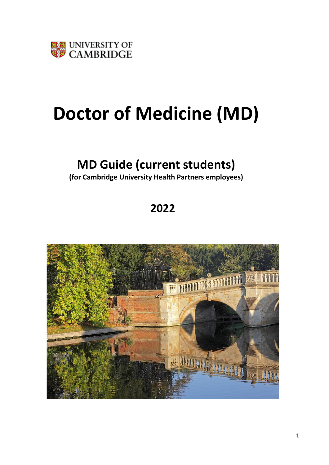

# **Doctor of Medicine (MD)**

# **MD Guide (current students)**

**(for Cambridge University Health Partners employees)**

# **2022**

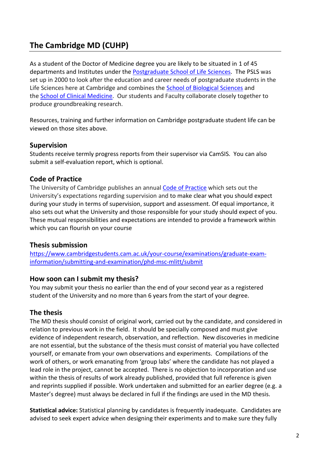# **The Cambridge MD (CUHP)**

As a student of the Doctor of Medicine degree you are likely to be situated in 1 of 45 departments and Institutes under the [Postgraduate School of Life Sciences.](https://www.postgradschl.lifesci.cam.ac.uk/) The PSLS was set up in 2000 to look after the education and career needs of postgraduate students in the Life Sciences here at Cambridge and combines the [School of Biological Sciences](https://www.bio.cam.ac.uk/) and the [School of Clinical Medicine.](https://www.medschl.cam.ac.uk/) Our students and Faculty collaborate closely together to produce groundbreaking research.

Resources, training and further information on Cambridge postgraduate student life can be viewed on those sites above.

#### **Supervision**

Students receive termly progress reports from their supervisor via CamSIS. You can also submit a self-evaluation report, which is optional.

#### **Code of Practice**

The University of Cambridge publishes an annual [Code of Practice](http://www.cambridgestudents.cam.ac.uk/new-students/manage-your-student-information/graduate-students/code) which sets out the University's expectations regarding supervision and to make clear what you should expect during your study in terms of supervision, support and assessment. Of equal importance, it also sets out what the University and those responsible for your study should expect of you. These mutual responsibilities and expectations are intended to provide a framework within which you can flourish on your course

#### **Thesis submission**

[https://www.cambridgestudents.cam.ac.uk/your-course/examinations/graduate-exam](https://www.cambridgestudents.cam.ac.uk/your-course/examinations/graduate-exam-information/submitting-and-examination/phd-msc-mlitt/submit)[information/submitting-and-examination/phd-msc-mlitt/submit](https://www.cambridgestudents.cam.ac.uk/your-course/examinations/graduate-exam-information/submitting-and-examination/phd-msc-mlitt/submit)

#### **How soon can I submit my thesis?**

You may submit your thesis no earlier than the end of your second year as a registered student of the University and no more than 6 years from the start of your degree.

#### **The thesis**

The MD thesis should consist of original work, carried out by the candidate, and considered in relation to previous work in the field. It should be specially composed and must give evidence of independent research, observation, and reflection. New discoveries in medicine are not essential, but the substance of the thesis must consist of material you have collected yourself, or emanate from your own observations and experiments. Compilations of the work of others, or work emanating from 'group labs' where the candidate has not played a lead role in the project, cannot be accepted. There is no objection to incorporation and use within the thesis of results of work already published, provided that full reference is given and reprints supplied if possible. Work undertaken and submitted for an earlier degree (e.g. a Master's degree) must always be declared in full if the findings are used in the MD thesis.

**Statistical advice:** Statistical planning by candidates is frequently inadequate. Candidates are advised to seek expert advice when designing their experiments and to make sure they fully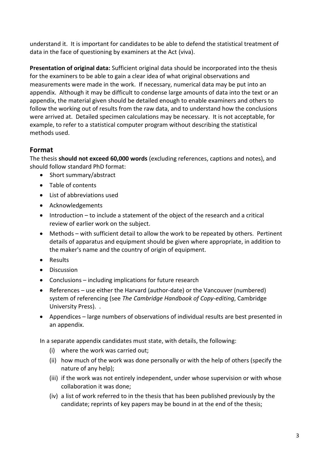understand it. It is important for candidates to be able to defend the statistical treatment of data in the face of questioning by examiners at the Act (viva).

**Presentation of original data:** Sufficient original data should be incorporated into the thesis for the examiners to be able to gain a clear idea of what original observations and measurements were made in the work. If necessary, numerical data may be put into an appendix. Although it may be difficult to condense large amounts of data into the text or an appendix, the material given should be detailed enough to enable examiners and others to follow the working out of results from the raw data, and to understand how the conclusions were arrived at. Detailed specimen calculations may be necessary. It is not acceptable, for example, to refer to a statistical computer program without describing the statistical methods used.

# **Format**

The thesis **should not exceed 60,000 words** (excluding references, captions and notes), and should follow standard PhD format:

- Short summary/abstract
- Table of contents
- List of abbreviations used
- Acknowledgements
- Introduction to include a statement of the object of the research and a critical review of earlier work on the subject.
- Methods with sufficient detail to allow the work to be repeated by others. Pertinent details of apparatus and equipment should be given where appropriate, in addition to the maker's name and the country of origin of equipment.
- Results
- Discussion
- Conclusions including implications for future research
- References use either the Harvard (author-date) or the Vancouver (numbered) system of referencing (see *The Cambridge Handbook of Copy-editing*, Cambridge University Press). .
- Appendices large numbers of observations of individual results are best presented in an appendix.

In a separate appendix candidates must state, with details, the following:

- (i) where the work was carried out;
- (ii) how much of the work was done personally or with the help of others (specify the nature of any help);
- (iii) if the work was not entirely independent, under whose supervision or with whose collaboration it was done;
- (iv) a list of work referred to in the thesis that has been published previously by the candidate; reprints of key papers may be bound in at the end of the thesis;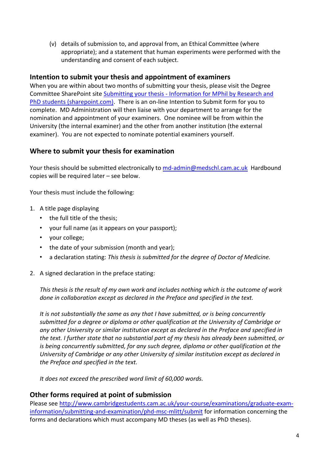(v) details of submission to, and approval from, an Ethical Committee (where appropriate); and a statement that human experiments were performed with the understanding and consent of each subject.

#### **Intention to submit your thesis and appointment of examiners**

When you are within about two months of submitting your thesis, please visit the Degree Committee SharePoint site Submitting your thesis - [Information for MPhil by Research and](https://universityofcambridgecloud.sharepoint.com/sites/CLINMED_Degree_Committee_for_Clinical_and_Veterinary_Medicine/SitePages/Submitting%20your%20thesis.aspx)  [PhD students \(sharepoint.com\).](https://universityofcambridgecloud.sharepoint.com/sites/CLINMED_Degree_Committee_for_Clinical_and_Veterinary_Medicine/SitePages/Submitting%20your%20thesis.aspx) There is an on-line Intention to Submit form for you to complete. MD Administration will then liaise with your department to arrange for the nomination and appointment of your examiners. One nominee will be from within the University (the internal examiner) and the other from another institution (the external examiner). You are not expected to nominate potential examiners yourself.

#### **Where to submit your thesis for examination**

Your thesis should be submitted electronically to [md-admin@medschl.cam.ac.uk](mailto:md-admin@medschl.cam.ac.uk) Hardbound copies will be required later – see below.

Your thesis must include the following:

- 1. A title page displaying
	- the full title of the thesis;
	- your full name (as it appears on your passport);
	- your college;
	- the date of your submission (month and year);
	- a declaration stating: *This thesis is submitted for the degree of Doctor of Medicine.*
- 2. A signed declaration in the preface stating:

*This thesis is the result of my own work and includes nothing which is the outcome of work done in collaboration except as declared in the Preface and specified in the text.*

*It is not substantially the same as any that I have submitted, or is being concurrently submitted for a degree or diploma or other qualification at the University of Cambridge or any other University or similar institution except as declared in the Preface and specified in the text. I further state that no substantial part of my thesis has already been submitted, or is being concurrently submitted, for any such degree, diploma or other qualification at the University of Cambridge or any other University of similar institution except as declared in the Preface and specified in the text.* 

*It does not exceed the prescribed word limit of 60,000 words.*

#### **Other forms required at point of submission**

Please see [http://www.cambridgestudents.cam.ac.uk/your-course/examinations/graduate-exam](http://www.cambridgestudents.cam.ac.uk/your-course/examinations/graduate-exam-information/submitting-and-examination/phd-msc-mlitt/submit)[information/submitting-and-examination/phd-msc-mlitt/submit](http://www.cambridgestudents.cam.ac.uk/your-course/examinations/graduate-exam-information/submitting-and-examination/phd-msc-mlitt/submit) for information concerning the forms and declarations which must accompany MD theses (as well as PhD theses).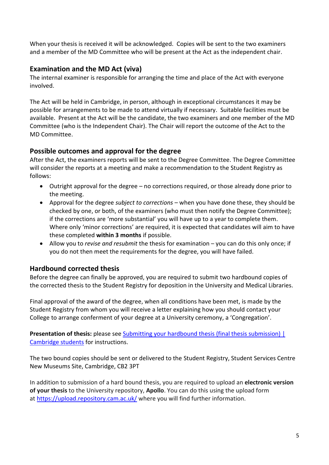When your thesis is received it will be acknowledged. Copies will be sent to the two examiners and a member of the MD Committee who will be present at the Act as the independent chair.

### **Examination and the MD Act (viva)**

The internal examiner is responsible for arranging the time and place of the Act with everyone involved.

The Act will be held in Cambridge, in person, although in exceptional circumstances it may be possible for arrangements to be made to attend virtually if necessary. Suitable facilities must be available. Present at the Act will be the candidate, the two examiners and one member of the MD Committee (who is the Independent Chair). The Chair will report the outcome of the Act to the MD Committee.

# **Possible outcomes and approval for the degree**

After the Act, the examiners reports will be sent to the Degree Committee. The Degree Committee will consider the reports at a meeting and make a recommendation to the Student Registry as follows:

- Outright approval for the degree no corrections required, or those already done prior to the meeting.
- Approval for the degree *subject to corrections*  when you have done these, they should be checked by one, or both, of the examiners (who must then notify the Degree Committee); if the corrections are 'more substantial' you will have up to a year to complete them. Where only 'minor corrections' are required, it is expected that candidates will aim to have these completed **within 3 months** if possible.
- Allow you to *revise and resubmit* the thesis for examination you can do this only once; if you do not then meet the requirements for the degree, you will have failed.

# **Hardbound corrected thesis**

Before the degree can finally be approved, you are required to submit two hardbound copies of the corrected thesis to the Student Registry for deposition in the University and Medical Libraries.

Final approval of the award of the degree, when all conditions have been met, is made by the Student Registry from whom you will receive a letter explaining how you should contact your College to arrange conferment of your degree at a University ceremony, a 'Congregation'.

**Presentation of thesis:** please see Submitting your hardbound thesis (final thesis submission) | [Cambridge students](https://www.cambridgestudents.cam.ac.uk/your-course/examinations/graduate-exam-information/after-examination/degree-approval-and-1) for instructions.

The two bound copies should be sent or delivered to the Student Registry, Student Services Centre New Museums Site, Cambridge, CB2 3PT

In addition to submission of a hard bound thesis, you are required to upload an **electronic version of your thesis** to the University repository, **Apollo**. You can do this using the upload form at <https://upload.repository.cam.ac.uk/> where you will find further information.